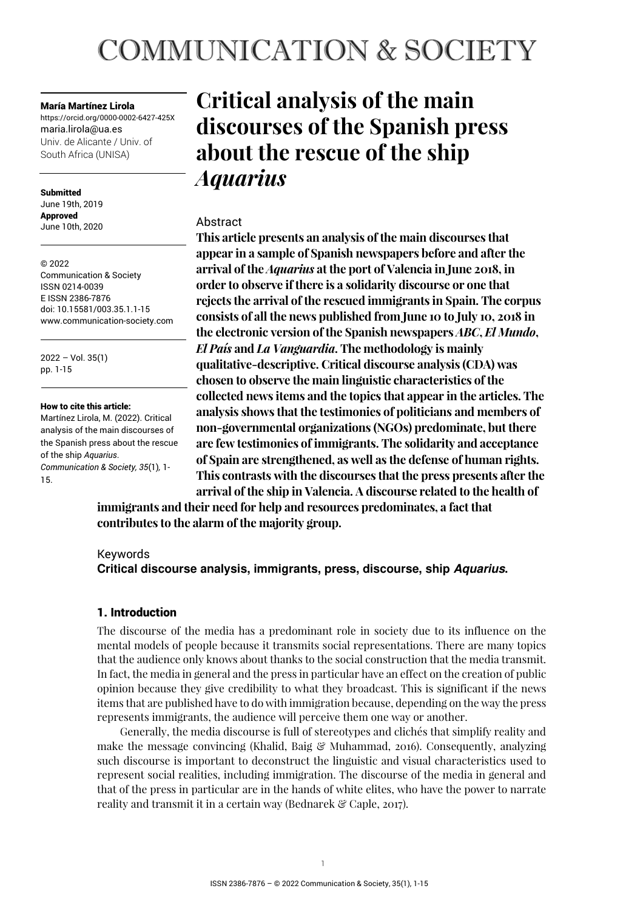# **COMMUNICATION & SOCIETY**

María Martínez Lirola

https://orcid.org/0000-0002-6427-425X maria.lirola@ua.es Univ. de Alicante / Univ. of South Africa (UNISA)

Submitted June 19th, 2019 Approved June 10th, 2020

© 2022 Communication & Society ISSN 0214-0039 E ISSN 2386-7876 doi: 10.15581/003.35.1.1-15 www.communication-society.com

2022 – Vol. 35(1) pp. 1-15

#### How to cite this article:

Martínez Lirola, M. (2022). Critical analysis of the main discourses of the Spanish press about the rescue of the ship *Aquarius*. *Communication & Society, 35*(1)*,* 1- 15.

## **Critical analysis of the main discourses of the Spanish press about the rescue of the ship**  *Aquarius*

## Abstract

**This article presents an analysis of the main discourses that appear in a sample of Spanish newspapers before and after the arrival of the** *Aquarius* **at the port of Valencia in June 2018, in order to observe if there is a solidarity discourse or one that rejects the arrival of the rescued immigrants in Spain. The corpus consists of all the news published from June 10 to July 10, 2018 in the electronic version of the Spanish newspapers** *ABC***,** *El Mundo***,**  *El País* **and** *La Vanguardia***. The methodology is mainly qualitative-descriptive. Critical discourse analysis (CDA) was chosen to observe the main linguistic characteristics of the collected news items and the topics that appear in the articles. The analysis shows that the testimonies of politicians and members of non-governmental organizations (NGOs) predominate, but there are few testimonies of immigrants. The solidarity and acceptance of Spain are strengthened, as well as the defense of human rights. This contrasts with the discourses that the press presents after the arrival of the ship in Valencia. A discourse related to the health of** 

**immigrants and their need for help and resources predominates, a fact that contributes to the alarm of the majority group.** 

## Keywords

**Critical discourse analysis, immigrants, press, discourse, ship Aquarius.** 

## 1. Introduction

The discourse of the media has a predominant role in society due to its influence on the mental models of people because it transmits social representations. There are many topics that the audience only knows about thanks to the social construction that the media transmit. In fact, the media in general and the press in particular have an effect on the creation of public opinion because they give credibility to what they broadcast. This is significant if the news items that are published have to do with immigration because, depending on the way the press represents immigrants, the audience will perceive them one way or another.

Generally, the media discourse is full of stereotypes and clichés that simplify reality and make the message convincing (Khalid, Baig  $\mathcal{C}$  Muhammad, 2016). Consequently, analyzing such discourse is important to deconstruct the linguistic and visual characteristics used to represent social realities, including immigration. The discourse of the media in general and that of the press in particular are in the hands of white elites, who have the power to narrate reality and transmit it in a certain way (Bednarek & Caple, 2017).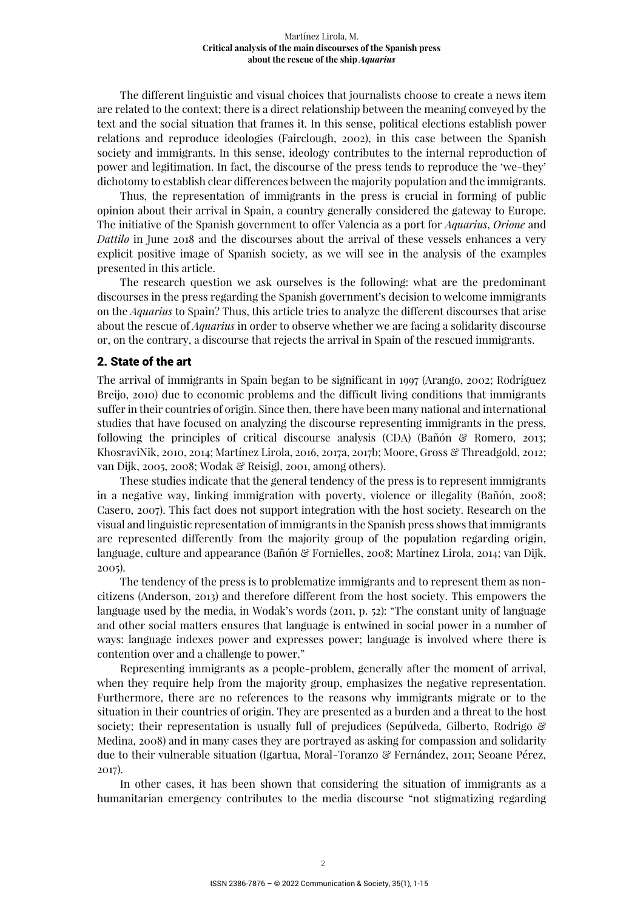The different linguistic and visual choices that journalists choose to create a news item are related to the context; there is a direct relationship between the meaning conveyed by the text and the social situation that frames it. In this sense, political elections establish power relations and reproduce ideologies (Fairclough, 2002), in this case between the Spanish society and immigrants. In this sense, ideology contributes to the internal reproduction of power and legitimation. In fact, the discourse of the press tends to reproduce the 'we-they' dichotomy to establish clear differences between the majority population and the immigrants.

Thus, the representation of immigrants in the press is crucial in forming of public opinion about their arrival in Spain, a country generally considered the gateway to Europe. The initiative of the Spanish government to offer Valencia as a port for *Aquarius*, *Orione* and *Dattilo* in June 2018 and the discourses about the arrival of these vessels enhances a very explicit positive image of Spanish society, as we will see in the analysis of the examples presented in this article.

The research question we ask ourselves is the following: what are the predominant discourses in the press regarding the Spanish government's decision to welcome immigrants on the *Aquarius* to Spain? Thus, this article tries to analyze the different discourses that arise about the rescue of *Aquarius* in order to observe whether we are facing a solidarity discourse or, on the contrary, a discourse that rejects the arrival in Spain of the rescued immigrants.

## 2. State of the art

The arrival of immigrants in Spain began to be significant in 1997 (Arango, 2002; Rodríguez Breijo, 2010) due to economic problems and the difficult living conditions that immigrants suffer in their countries of origin. Since then, there have been many national and international studies that have focused on analyzing the discourse representing immigrants in the press, following the principles of critical discourse analysis (CDA) (Bañón & Romero, 2013; KhosraviNik, 2010, 2014; Martínez Lirola, 2016, 2017a, 2017b; Moore, Gross & Threadgold, 2012; van Dijk, 2005, 2008; Wodak & Reisigl, 2001, among others).

These studies indicate that the general tendency of the press is to represent immigrants in a negative way, linking immigration with poverty, violence or illegality (Bañón, 2008; Casero, 2007). This fact does not support integration with the host society. Research on the visual and linguistic representation of immigrants in the Spanish press shows that immigrants are represented differently from the majority group of the population regarding origin, language, culture and appearance (Bañón & Fornielles, 2008; Martínez Lirola, 2014; van Dijk, 2005).

The tendency of the press is to problematize immigrants and to represent them as noncitizens (Anderson, 2013) and therefore different from the host society. This empowers the language used by the media, in Wodak's words (2011, p. 52): "The constant unity of language and other social matters ensures that language is entwined in social power in a number of ways: language indexes power and expresses power; language is involved where there is contention over and a challenge to power."

Representing immigrants as a people-problem, generally after the moment of arrival, when they require help from the majority group, emphasizes the negative representation. Furthermore, there are no references to the reasons why immigrants migrate or to the situation in their countries of origin. They are presented as a burden and a threat to the host society; their representation is usually full of prejudices (Sepúlveda, Gilberto, Rodrigo & Medina, 2008) and in many cases they are portrayed as asking for compassion and solidarity due to their vulnerable situation (Igartua, Moral-Toranzo & Fernández, 2011; Seoane Pérez, 2017).

In other cases, it has been shown that considering the situation of immigrants as a humanitarian emergency contributes to the media discourse "not stigmatizing regarding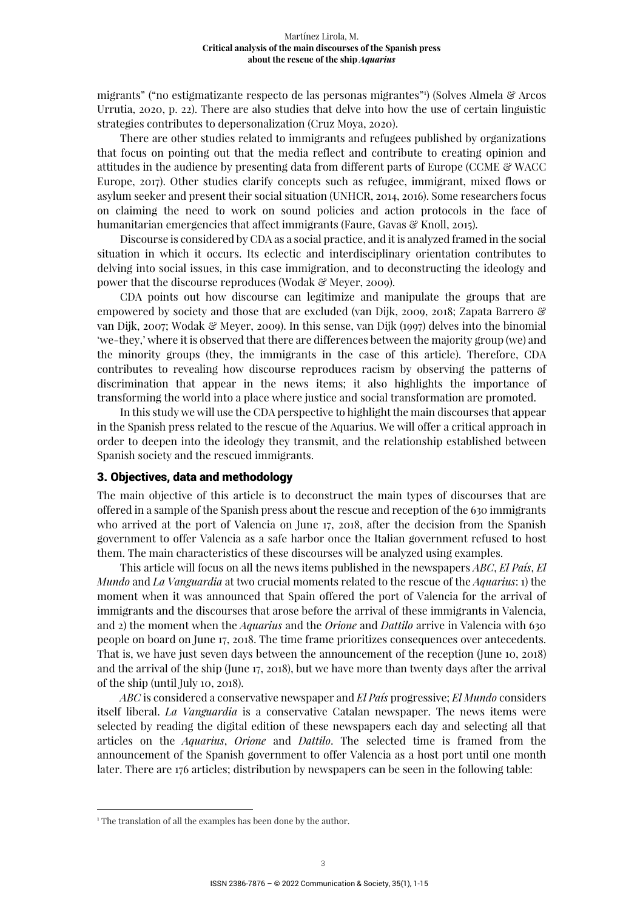migrants" ("no estigmatizante respecto de las personas migrantes"<sup>1</sup> ) (Solves Almela & Arcos Urrutia, 2020, p. 22). There are also studies that delve into how the use of certain linguistic strategies contributes to depersonalization (Cruz Moya, 2020).

There are other studies related to immigrants and refugees published by organizations that focus on pointing out that the media reflect and contribute to creating opinion and attitudes in the audience by presenting data from different parts of Europe (CCME & WACC Europe, 2017). Other studies clarify concepts such as refugee, immigrant, mixed flows or asylum seeker and present their social situation (UNHCR, 2014, 2016). Some researchers focus on claiming the need to work on sound policies and action protocols in the face of humanitarian emergencies that affect immigrants (Faure, Gavas & Knoll, 2015).

Discourse is considered by CDA as a social practice, and it is analyzed framed in the social situation in which it occurs. Its eclectic and interdisciplinary orientation contributes to delving into social issues, in this case immigration, and to deconstructing the ideology and power that the discourse reproduces (Wodak & Meyer, 2009).

CDA points out how discourse can legitimize and manipulate the groups that are empowered by society and those that are excluded (van Dijk, 2009, 2018; Zapata Barrero & van Dijk, 2007; Wodak & Meyer, 2009). In this sense, van Dijk (1997) delves into the binomial 'we-they,' where it is observed that there are differences between the majority group (we) and the minority groups (they, the immigrants in the case of this article). Therefore, CDA contributes to revealing how discourse reproduces racism by observing the patterns of discrimination that appear in the news items; it also highlights the importance of transforming the world into a place where justice and social transformation are promoted.

In this study we will use the CDA perspective to highlight the main discourses that appear in the Spanish press related to the rescue of the Aquarius. We will offer a critical approach in order to deepen into the ideology they transmit, and the relationship established between Spanish society and the rescued immigrants.

#### 3. Objectives, data and methodology

The main objective of this article is to deconstruct the main types of discourses that are offered in a sample of the Spanish press about the rescue and reception of the 630 immigrants who arrived at the port of Valencia on June 17, 2018, after the decision from the Spanish government to offer Valencia as a safe harbor once the Italian government refused to host them. The main characteristics of these discourses will be analyzed using examples.

This article will focus on all the news items published in the newspapers *ABC*, *El País*, *El Mundo* and *La Vanguardia* at two crucial moments related to the rescue of the *Aquarius*: 1) the moment when it was announced that Spain offered the port of Valencia for the arrival of immigrants and the discourses that arose before the arrival of these immigrants in Valencia, and 2) the moment when the *Aquarius* and the *Orione* and *Dattilo* arrive in Valencia with 630 people on board on June 17, 2018. The time frame prioritizes consequences over antecedents. That is, we have just seven days between the announcement of the reception (June 10, 2018) and the arrival of the ship (June 17, 2018), but we have more than twenty days after the arrival of the ship (until July 10, 2018).

*ABC* is considered a conservative newspaper and *El País* progressive; *El Mundo* considers itself liberal. *La Vanguardia* is a conservative Catalan newspaper. The news items were selected by reading the digital edition of these newspapers each day and selecting all that articles on the *Aquarius*, *Orione* and *Dattilo*. The selected time is framed from the announcement of the Spanish government to offer Valencia as a host port until one month later. There are 176 articles; distribution by newspapers can be seen in the following table:

<sup>&</sup>lt;sup>1</sup> The translation of all the examples has been done by the author.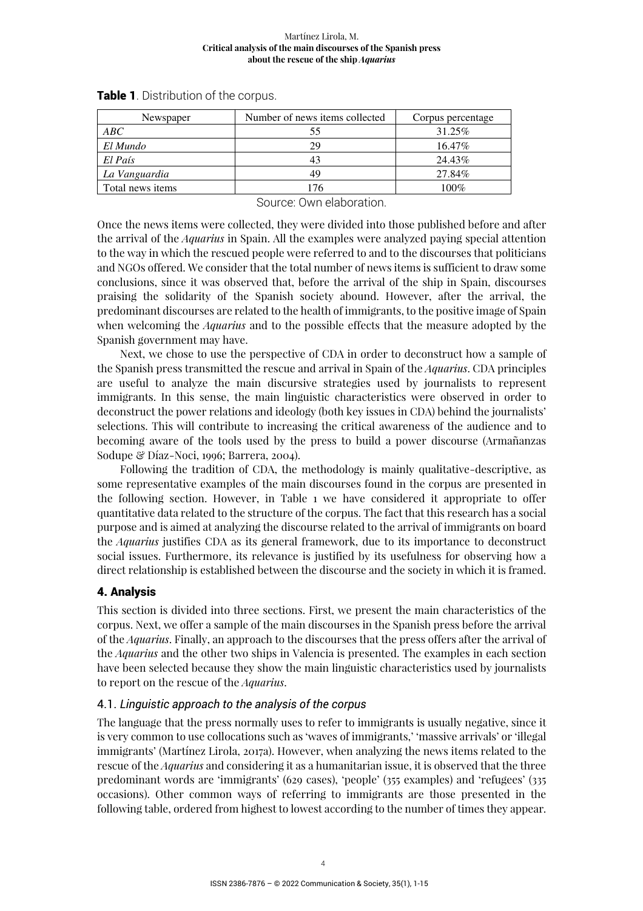| Newspaper        | Number of news items collected | Corpus percentage |
|------------------|--------------------------------|-------------------|
| ABC              |                                | 31.25%            |
| El Mundo         | 29                             | 16.47%            |
| El País          |                                | 24.43%            |
| La Vanguardia    | 49                             | 27.84%            |
| Total news items | 76                             | 100%              |

**Table 1**. Distribution of the corpus.

Source: Own elaboration.

Once the news items were collected, they were divided into those published before and after the arrival of the *Aquarius* in Spain. All the examples were analyzed paying special attention to the way in which the rescued people were referred to and to the discourses that politicians and NGOs offered. We consider that the total number of news items is sufficient to draw some conclusions, since it was observed that, before the arrival of the ship in Spain, discourses praising the solidarity of the Spanish society abound. However, after the arrival, the predominant discourses are related to the health of immigrants, to the positive image of Spain when welcoming the *Aquarius* and to the possible effects that the measure adopted by the Spanish government may have.

Next, we chose to use the perspective of CDA in order to deconstruct how a sample of the Spanish press transmitted the rescue and arrival in Spain of the *Aquarius*. CDA principles are useful to analyze the main discursive strategies used by journalists to represent immigrants. In this sense, the main linguistic characteristics were observed in order to deconstruct the power relations and ideology (both key issues in CDA) behind the journalists' selections. This will contribute to increasing the critical awareness of the audience and to becoming aware of the tools used by the press to build a power discourse (Armañanzas Sodupe & Díaz-Noci, 1996; Barrera, 2004).

Following the tradition of CDA, the methodology is mainly qualitative-descriptive, as some representative examples of the main discourses found in the corpus are presented in the following section. However, in Table 1 we have considered it appropriate to offer quantitative data related to the structure of the corpus. The fact that this research has a social purpose and is aimed at analyzing the discourse related to the arrival of immigrants on board the *Aquarius* justifies CDA as its general framework, due to its importance to deconstruct social issues. Furthermore, its relevance is justified by its usefulness for observing how a direct relationship is established between the discourse and the society in which it is framed.

## 4. Analysis

This section is divided into three sections. First, we present the main characteristics of the corpus. Next, we offer a sample of the main discourses in the Spanish press before the arrival of the *Aquarius*. Finally, an approach to the discourses that the press offers after the arrival of the *Aquarius* and the other two ships in Valencia is presented. The examples in each section have been selected because they show the main linguistic characteristics used by journalists to report on the rescue of the *Aquarius*.

## 4.1. *Linguistic approach to the analysis of the corpus*

The language that the press normally uses to refer to immigrants is usually negative, since it is very common to use collocations such as 'waves of immigrants,' 'massive arrivals' or 'illegal immigrants' (Martínez Lirola, 2017a). However, when analyzing the news items related to the rescue of the *Aquarius* and considering it as a humanitarian issue, it is observed that the three predominant words are 'immigrants' (629 cases), 'people' (355 examples) and 'refugees' (335 occasions). Other common ways of referring to immigrants are those presented in the following table, ordered from highest to lowest according to the number of times they appear.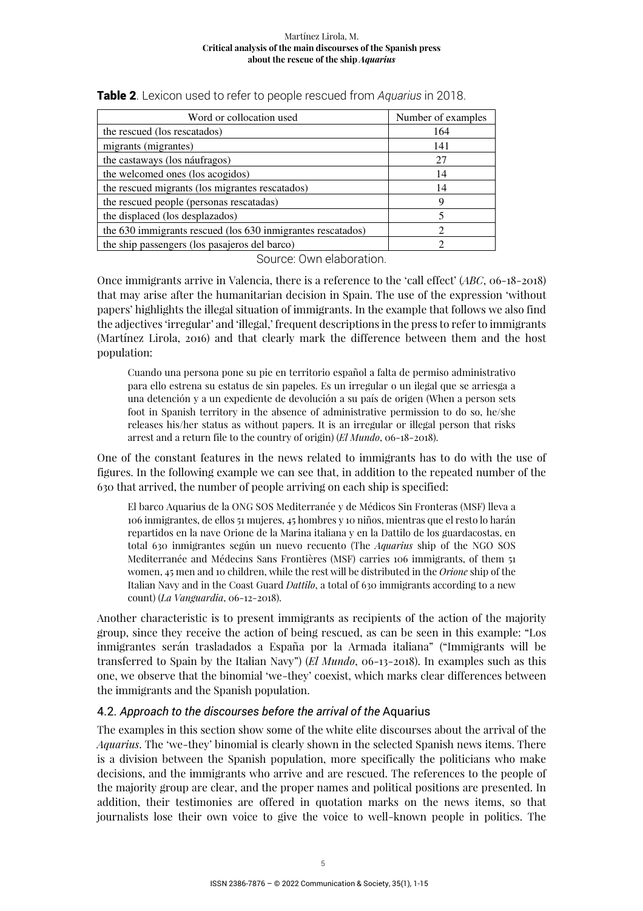| Word or collocation used                                    | Number of examples |
|-------------------------------------------------------------|--------------------|
| the rescued (los rescatados)                                | 164                |
| migrants (migrantes)                                        | 141                |
| the castaways (los náufragos)                               | 27                 |
| the welcomed ones (los acogidos)                            | 14                 |
| the rescued migrants (los migrantes rescatados)             | 14                 |
| the rescued people (personas rescatadas)                    | Q                  |
| the displaced (los desplazados)                             |                    |
| the 630 immigrants rescued (los 630 inmigrantes rescatados) |                    |
| the ship passengers (los pasajeros del barco)               |                    |

| Table 2. Lexicon used to refer to people rescued from Aquarius in 2018. |  |  |
|-------------------------------------------------------------------------|--|--|
|-------------------------------------------------------------------------|--|--|

Source: Own elaboration.

Once immigrants arrive in Valencia, there is a reference to the 'call effect' (*ABC*, 06-18-2018) that may arise after the humanitarian decision in Spain. The use of the expression 'without papers' highlights the illegal situation of immigrants. In the example that follows we also find the adjectives 'irregular' and 'illegal,' frequent descriptions in the press to refer to immigrants (Martínez Lirola, 2016) and that clearly mark the difference between them and the host population:

Cuando una persona pone su pie en territorio español a falta de permiso administrativo para ello estrena su estatus de sin papeles. Es un irregular o un ilegal que se arriesga a una detención y a un expediente de devolución a su país de origen (When a person sets foot in Spanish territory in the absence of administrative permission to do so, he/she releases his/her status as without papers. It is an irregular or illegal person that risks arrest and a return file to the country of origin) (*El Mundo*, 06-18-2018).

One of the constant features in the news related to immigrants has to do with the use of figures. In the following example we can see that, in addition to the repeated number of the 630 that arrived, the number of people arriving on each ship is specified:

El barco Aquarius de la ONG SOS Mediterranée y de Médicos Sin Fronteras (MSF) lleva a 106 inmigrantes, de ellos 51 mujeres, 45 hombres y 10 niños, mientras que el resto lo harán repartidos en la nave Orione de la Marina italiana y en la Dattilo de los guardacostas, en total 630 inmigrantes según un nuevo recuento (The *Aquarius* ship of the NGO SOS Mediterranée and Médecins Sans Frontières (MSF) carries 106 immigrants, of them 51 women, 45 men and 10 children, while the rest will be distributed in the *Orione* ship of the Italian Navy and in the Coast Guard *Dattilo*, a total of 630 immigrants according to a new count) (*La Vanguardia*, 06-12-2018).

Another characteristic is to present immigrants as recipients of the action of the majority group, since they receive the action of being rescued, as can be seen in this example: "Los inmigrantes serán trasladados a España por la Armada italiana" ("Immigrants will be transferred to Spain by the Italian Navy") (*El Mundo*, 06-13-2018). In examples such as this one, we observe that the binomial 'we-they' coexist, which marks clear differences between the immigrants and the Spanish population.

## 4.2. *Approach to the discourses before the arrival of the* Aquarius

The examples in this section show some of the white elite discourses about the arrival of the *Aquarius*. The 'we-they' binomial is clearly shown in the selected Spanish news items. There is a division between the Spanish population, more specifically the politicians who make decisions, and the immigrants who arrive and are rescued. The references to the people of the majority group are clear, and the proper names and political positions are presented. In addition, their testimonies are offered in quotation marks on the news items, so that journalists lose their own voice to give the voice to well-known people in politics. The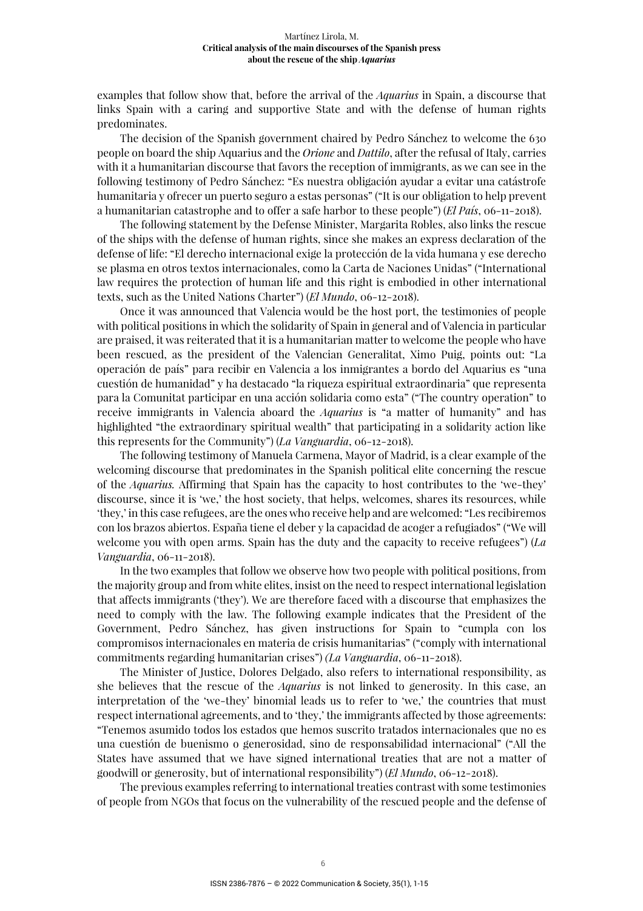examples that follow show that, before the arrival of the *Aquarius* in Spain, a discourse that links Spain with a caring and supportive State and with the defense of human rights predominates.

The decision of the Spanish government chaired by Pedro Sánchez to welcome the 630 people on board the ship Aquarius and the *Orione* and *Dattilo*, after the refusal of Italy, carries with it a humanitarian discourse that favors the reception of immigrants, as we can see in the following testimony of Pedro Sánchez: "Es nuestra obligación ayudar a evitar una catástrofe humanitaria y ofrecer un puerto seguro a estas personas" ("It is our obligation to help prevent a humanitarian catastrophe and to offer a safe harbor to these people") (*El País*, 06-11-2018).

The following statement by the Defense Minister, Margarita Robles, also links the rescue of the ships with the defense of human rights, since she makes an express declaration of the defense of life: "El derecho internacional exige la protección de la vida humana y ese derecho se plasma en otros textos internacionales, como la Carta de Naciones Unidas" ("International law requires the protection of human life and this right is embodied in other international texts, such as the United Nations Charter") (*El Mundo*, 06-12-2018).

Once it was announced that Valencia would be the host port, the testimonies of people with political positions in which the solidarity of Spain in general and of Valencia in particular are praised, it was reiterated that it is a humanitarian matter to welcome the people who have been rescued, as the president of the Valencian Generalitat, Ximo Puig, points out: "La operación de país" para recibir en Valencia a los inmigrantes a bordo del Aquarius es "una cuestión de humanidad" y ha destacado "la riqueza espiritual extraordinaria" que representa para la Comunitat participar en una acción solidaria como esta" ("The country operation" to receive immigrants in Valencia aboard the *Aquarius* is "a matter of humanity" and has highlighted "the extraordinary spiritual wealth" that participating in a solidarity action like this represents for the Community") (*La Vanguardia*, 06-12-2018).

The following testimony of Manuela Carmena, Mayor of Madrid, is a clear example of the welcoming discourse that predominates in the Spanish political elite concerning the rescue of the *Aquarius.* Affirming that Spain has the capacity to host contributes to the 'we-they' discourse, since it is 'we,' the host society, that helps, welcomes, shares its resources, while 'they,' in this case refugees, are the ones who receive help and are welcomed: "Les recibiremos con los brazos abiertos. España tiene el deber y la capacidad de acoger a refugiados" ("We will welcome you with open arms. Spain has the duty and the capacity to receive refugees") (*La Vanguardia*, 06-11-2018).

In the two examples that follow we observe how two people with political positions, from the majority group and from white elites, insist on the need to respect international legislation that affects immigrants ('they'). We are therefore faced with a discourse that emphasizes the need to comply with the law. The following example indicates that the President of the Government, Pedro Sánchez, has given instructions for Spain to "cumpla con los compromisos internacionales en materia de crisis humanitarias" ("comply with international commitments regarding humanitarian crises") *(La Vanguardia*, 06-11-2018).

The Minister of Justice, Dolores Delgado, also refers to international responsibility, as she believes that the rescue of the *Aquarius* is not linked to generosity. In this case, an interpretation of the 'we-they' binomial leads us to refer to 'we,' the countries that must respect international agreements, and to 'they,' the immigrants affected by those agreements: "Tenemos asumido todos los estados que hemos suscrito tratados internacionales que no es una cuestión de buenismo o generosidad, sino de responsabilidad internacional" ("All the States have assumed that we have signed international treaties that are not a matter of goodwill or generosity, but of international responsibility") (*El Mundo*, 06-12-2018).

The previous examples referring to international treaties contrast with some testimonies of people from NGOs that focus on the vulnerability of the rescued people and the defense of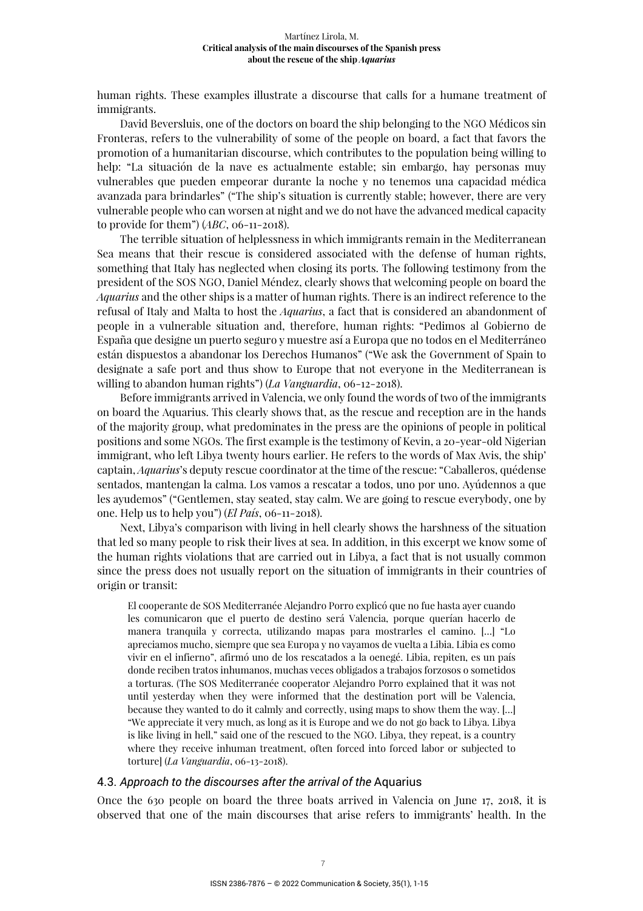human rights. These examples illustrate a discourse that calls for a humane treatment of immigrants.

David Beversluis, one of the doctors on board the ship belonging to the NGO Médicos sin Fronteras, refers to the vulnerability of some of the people on board, a fact that favors the promotion of a humanitarian discourse, which contributes to the population being willing to help: "La situación de la nave es actualmente estable; sin embargo, hay personas muy vulnerables que pueden empeorar durante la noche y no tenemos una capacidad médica avanzada para brindarles" ("The ship's situation is currently stable; however, there are very vulnerable people who can worsen at night and we do not have the advanced medical capacity to provide for them") (*ABC*, 06-11-2018).

The terrible situation of helplessness in which immigrants remain in the Mediterranean Sea means that their rescue is considered associated with the defense of human rights, something that Italy has neglected when closing its ports. The following testimony from the president of the SOS NGO, Daniel Méndez, clearly shows that welcoming people on board the *Aquarius* and the other ships is a matter of human rights. There is an indirect reference to the refusal of Italy and Malta to host the *Aquarius*, a fact that is considered an abandonment of people in a vulnerable situation and, therefore, human rights: "Pedimos al Gobierno de España que designe un puerto seguro y muestre así a Europa que no todos en el Mediterráneo están dispuestos a abandonar los Derechos Humanos" ("We ask the Government of Spain to designate a safe port and thus show to Europe that not everyone in the Mediterranean is willing to abandon human rights") (*La Vanguardia*, 06-12-2018).

Before immigrants arrived in Valencia, we only found the words of two of the immigrants on board the Aquarius. This clearly shows that, as the rescue and reception are in the hands of the majority group, what predominates in the press are the opinions of people in political positions and some NGOs. The first example is the testimony of Kevin, a 20-year-old Nigerian immigrant, who left Libya twenty hours earlier. He refers to the words of Max Avis, the ship' captain, *Aquarius*'s deputy rescue coordinator at the time of the rescue: "Caballeros, quédense sentados, mantengan la calma. Los vamos a rescatar a todos, uno por uno. Ayúdennos a que les ayudemos" ("Gentlemen, stay seated, stay calm. We are going to rescue everybody, one by one. Help us to help you") (*El País*, 06-11-2018).

Next, Libya's comparison with living in hell clearly shows the harshness of the situation that led so many people to risk their lives at sea. In addition, in this excerpt we know some of the human rights violations that are carried out in Libya, a fact that is not usually common since the press does not usually report on the situation of immigrants in their countries of origin or transit:

El cooperante de SOS Mediterranée Alejandro Porro explicó que no fue hasta ayer cuando les comunicaron que el puerto de destino será Valencia, porque querían hacerlo de manera tranquila y correcta, utilizando mapas para mostrarles el camino. […] "Lo apreciamos mucho, siempre que sea Europa y no vayamos de vuelta a Libia. Libia es como vivir en el infierno", afirmó uno de los rescatados a la oenegé. Libia, repiten, es un país donde reciben tratos inhumanos, muchas veces obligados a trabajos forzosos o sometidos a torturas. (The SOS Mediterranée cooperator Alejandro Porro explained that it was not until yesterday when they were informed that the destination port will be Valencia, because they wanted to do it calmly and correctly, using maps to show them the way. […] "We appreciate it very much, as long as it is Europe and we do not go back to Libya. Libya is like living in hell," said one of the rescued to the NGO. Libya, they repeat, is a country where they receive inhuman treatment, often forced into forced labor or subjected to torture] (*La Vanguardia*, 06-13-2018).

#### 4.3. *Approach to the discourses after the arrival of the* Aquarius

Once the 630 people on board the three boats arrived in Valencia on June 17, 2018, it is observed that one of the main discourses that arise refers to immigrants' health. In the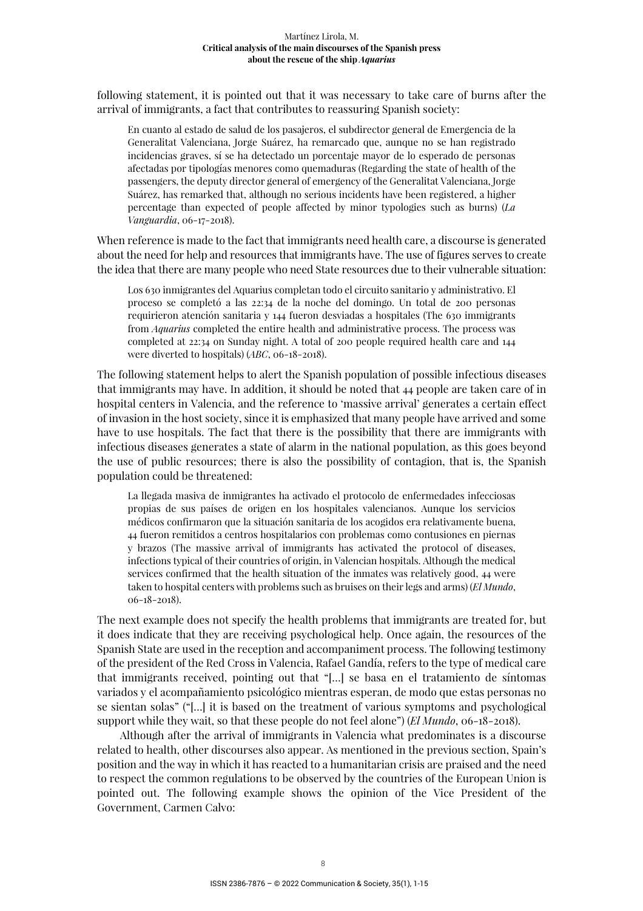following statement, it is pointed out that it was necessary to take care of burns after the arrival of immigrants, a fact that contributes to reassuring Spanish society:

En cuanto al estado de salud de los pasajeros, el subdirector general de Emergencia de la Generalitat Valenciana, Jorge Suárez, ha remarcado que, aunque no se han registrado incidencias graves, sí se ha detectado un porcentaje mayor de lo esperado de personas afectadas por tipologías menores como quemaduras (Regarding the state of health of the passengers, the deputy director general of emergency of the Generalitat Valenciana, Jorge Suárez, has remarked that, although no serious incidents have been registered, a higher percentage than expected of people affected by minor typologies such as burns) (*La Vanguardia*, 06-17-2018).

When reference is made to the fact that immigrants need health care, a discourse is generated about the need for help and resources that immigrants have. The use of figures serves to create the idea that there are many people who need State resources due to their vulnerable situation:

Los 630 inmigrantes del Aquarius completan todo el circuito sanitario y administrativo. El proceso se completó a las 22:34 de la noche del domingo. Un total de 200 personas requirieron atención sanitaria y 144 fueron desviadas a hospitales (The 630 immigrants from *Aquarius* completed the entire health and administrative process. The process was completed at 22:34 on Sunday night. A total of 200 people required health care and 144 were diverted to hospitals) (*ABC*, 06-18-2018).

The following statement helps to alert the Spanish population of possible infectious diseases that immigrants may have. In addition, it should be noted that 44 people are taken care of in hospital centers in Valencia, and the reference to 'massive arrival' generates a certain effect of invasion in the host society, since it is emphasized that many people have arrived and some have to use hospitals. The fact that there is the possibility that there are immigrants with infectious diseases generates a state of alarm in the national population, as this goes beyond the use of public resources; there is also the possibility of contagion, that is, the Spanish population could be threatened:

La llegada masiva de inmigrantes ha activado el protocolo de enfermedades infecciosas propias de sus países de origen en los hospitales valencianos. Aunque los servicios médicos confirmaron que la situación sanitaria de los acogidos era relativamente buena, 44 fueron remitidos a centros hospitalarios con problemas como contusiones en piernas y brazos (The massive arrival of immigrants has activated the protocol of diseases, infections typical of their countries of origin, in Valencian hospitals. Although the medical services confirmed that the health situation of the inmates was relatively good, 44 were taken to hospital centers with problems such as bruises on their legs and arms) (*El Mundo*, 06-18-2018).

The next example does not specify the health problems that immigrants are treated for, but it does indicate that they are receiving psychological help. Once again, the resources of the Spanish State are used in the reception and accompaniment process. The following testimony of the president of the Red Cross in Valencia, Rafael Gandía, refers to the type of medical care that immigrants received, pointing out that "[…] se basa en el tratamiento de síntomas variados y el acompañamiento psicológico mientras esperan, de modo que estas personas no se sientan solas" ("[…] it is based on the treatment of various symptoms and psychological support while they wait, so that these people do not feel alone") (*El Mundo*, 06-18-2018).

Although after the arrival of immigrants in Valencia what predominates is a discourse related to health, other discourses also appear. As mentioned in the previous section, Spain's position and the way in which it has reacted to a humanitarian crisis are praised and the need to respect the common regulations to be observed by the countries of the European Union is pointed out. The following example shows the opinion of the Vice President of the Government, Carmen Calvo: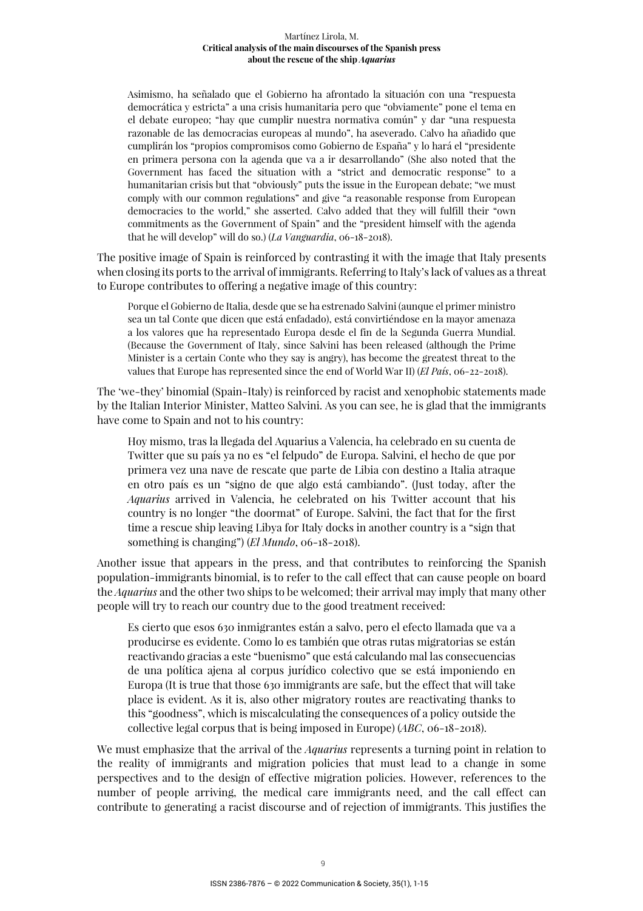Asimismo, ha señalado que el Gobierno ha afrontado la situación con una "respuesta democrática y estricta" a una crisis humanitaria pero que "obviamente" pone el tema en el debate europeo; "hay que cumplir nuestra normativa común" y dar "una respuesta razonable de las democracias europeas al mundo", ha aseverado. Calvo ha añadido que cumplirán los "propios compromisos como Gobierno de España" y lo hará el "presidente en primera persona con la agenda que va a ir desarrollando" (She also noted that the Government has faced the situation with a "strict and democratic response" to a humanitarian crisis but that "obviously" puts the issue in the European debate; "we must comply with our common regulations" and give "a reasonable response from European democracies to the world," she asserted. Calvo added that they will fulfill their "own commitments as the Government of Spain" and the "president himself with the agenda that he will develop" will do so.) (*La Vanguardia*, 06-18-2018).

The positive image of Spain is reinforced by contrasting it with the image that Italy presents when closing its ports to the arrival of immigrants. Referring to Italy's lack of values as a threat to Europe contributes to offering a negative image of this country:

Porque el Gobierno de Italia, desde que se ha estrenado Salvini (aunque el primer ministro sea un tal Conte que dicen que está enfadado), está convirtiéndose en la mayor amenaza a los valores que ha representado Europa desde el fin de la Segunda Guerra Mundial. (Because the Government of Italy, since Salvini has been released (although the Prime Minister is a certain Conte who they say is angry), has become the greatest threat to the values that Europe has represented since the end of World War II) (*El País*, 06-22-2018).

The 'we-they' binomial (Spain-Italy) is reinforced by racist and xenophobic statements made by the Italian Interior Minister, Matteo Salvini. As you can see, he is glad that the immigrants have come to Spain and not to his country:

Hoy mismo, tras la llegada del Aquarius a Valencia, ha celebrado en su cuenta de Twitter que su país ya no es "el felpudo" de Europa. Salvini, el hecho de que por primera vez una nave de rescate que parte de Libia con destino a Italia atraque en otro país es un "signo de que algo está cambiando". (Just today, after the *Aquarius* arrived in Valencia, he celebrated on his Twitter account that his country is no longer "the doormat" of Europe. Salvini, the fact that for the first time a rescue ship leaving Libya for Italy docks in another country is a "sign that something is changing") (*El Mundo*, 06-18-2018).

Another issue that appears in the press, and that contributes to reinforcing the Spanish population-immigrants binomial, is to refer to the call effect that can cause people on board the *Aquarius* and the other two ships to be welcomed; their arrival may imply that many other people will try to reach our country due to the good treatment received:

Es cierto que esos 630 inmigrantes están a salvo, pero el efecto llamada que va a producirse es evidente. Como lo es también que otras rutas migratorias se están reactivando gracias a este "buenismo" que está calculando mal las consecuencias de una política ajena al corpus jurídico colectivo que se está imponiendo en Europa (It is true that those 630 immigrants are safe, but the effect that will take place is evident. As it is, also other migratory routes are reactivating thanks to this "goodness", which is miscalculating the consequences of a policy outside the collective legal corpus that is being imposed in Europe) (*ABC*, 06-18-2018).

We must emphasize that the arrival of the *Aquarius* represents a turning point in relation to the reality of immigrants and migration policies that must lead to a change in some perspectives and to the design of effective migration policies. However, references to the number of people arriving, the medical care immigrants need, and the call effect can contribute to generating a racist discourse and of rejection of immigrants. This justifies the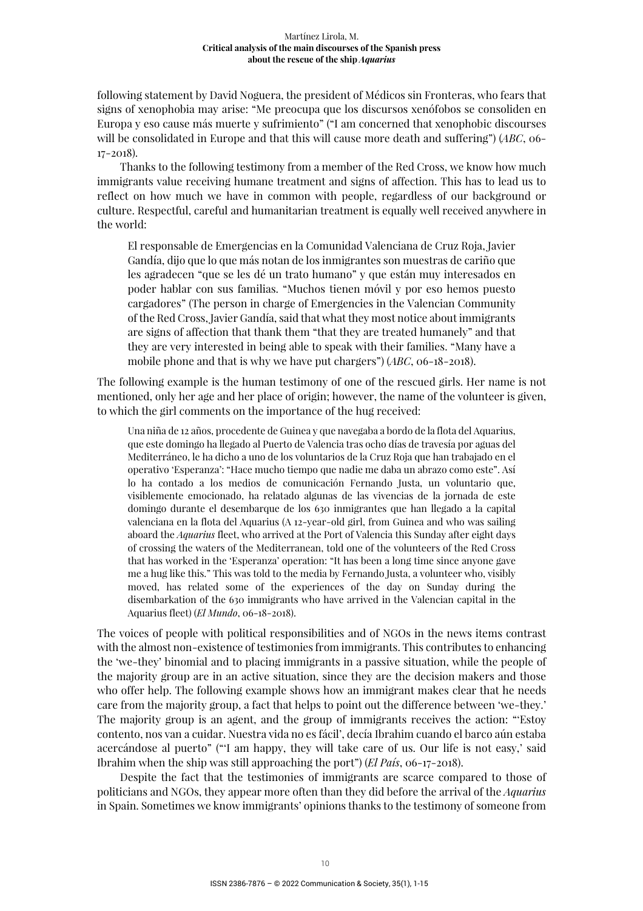following statement by David Noguera, the president of Médicos sin Fronteras, who fears that signs of xenophobia may arise: "Me preocupa que los discursos xenófobos se consoliden en Europa y eso cause más muerte y sufrimiento" ("I am concerned that xenophobic discourses will be consolidated in Europe and that this will cause more death and suffering") (*ABC*, 06- 17-2018).

Thanks to the following testimony from a member of the Red Cross, we know how much immigrants value receiving humane treatment and signs of affection. This has to lead us to reflect on how much we have in common with people, regardless of our background or culture. Respectful, careful and humanitarian treatment is equally well received anywhere in the world:

El responsable de Emergencias en la Comunidad Valenciana de Cruz Roja, Javier Gandía, dijo que lo que más notan de los inmigrantes son muestras de cariño que les agradecen "que se les dé un trato humano" y que están muy interesados en poder hablar con sus familias. "Muchos tienen móvil y por eso hemos puesto cargadores" (The person in charge of Emergencies in the Valencian Community of the Red Cross, Javier Gandía, said that what they most notice about immigrants are signs of affection that thank them "that they are treated humanely" and that they are very interested in being able to speak with their families. "Many have a mobile phone and that is why we have put chargers") (*ABC*, 06-18-2018).

The following example is the human testimony of one of the rescued girls. Her name is not mentioned, only her age and her place of origin; however, the name of the volunteer is given, to which the girl comments on the importance of the hug received:

Una niña de 12 años, procedente de Guinea y que navegaba a bordo de la flota del Aquarius, que este domingo ha llegado al Puerto de Valencia tras ocho días de travesía por aguas del Mediterráneo, le ha dicho a uno de los voluntarios de la Cruz Roja que han trabajado en el operativo 'Esperanza': "Hace mucho tiempo que nadie me daba un abrazo como este". Así lo ha contado a los medios de comunicación Fernando Justa, un voluntario que, visiblemente emocionado, ha relatado algunas de las vivencias de la jornada de este domingo durante el desembarque de los 630 inmigrantes que han llegado a la capital valenciana en la flota del Aquarius (A 12-year-old girl, from Guinea and who was sailing aboard the *Aquarius* fleet, who arrived at the Port of Valencia this Sunday after eight days of crossing the waters of the Mediterranean, told one of the volunteers of the Red Cross that has worked in the 'Esperanza' operation: "It has been a long time since anyone gave me a hug like this." This was told to the media by Fernando Justa, a volunteer who, visibly moved, has related some of the experiences of the day on Sunday during the disembarkation of the 630 immigrants who have arrived in the Valencian capital in the Aquarius fleet) (*El Mundo*, 06-18-2018).

The voices of people with political responsibilities and of NGOs in the news items contrast with the almost non-existence of testimonies from immigrants. This contributes to enhancing the 'we-they' binomial and to placing immigrants in a passive situation, while the people of the majority group are in an active situation, since they are the decision makers and those who offer help. The following example shows how an immigrant makes clear that he needs care from the majority group, a fact that helps to point out the difference between 'we-they.' The majority group is an agent, and the group of immigrants receives the action: "'Estoy contento, nos van a cuidar. Nuestra vida no es fácil', decía Ibrahim cuando el barco aún estaba acercándose al puerto" ("'I am happy, they will take care of us. Our life is not easy,' said Ibrahim when the ship was still approaching the port") (*El País*, 06-17-2018).

Despite the fact that the testimonies of immigrants are scarce compared to those of politicians and NGOs, they appear more often than they did before the arrival of the *Aquarius* in Spain. Sometimes we know immigrants' opinions thanks to the testimony of someone from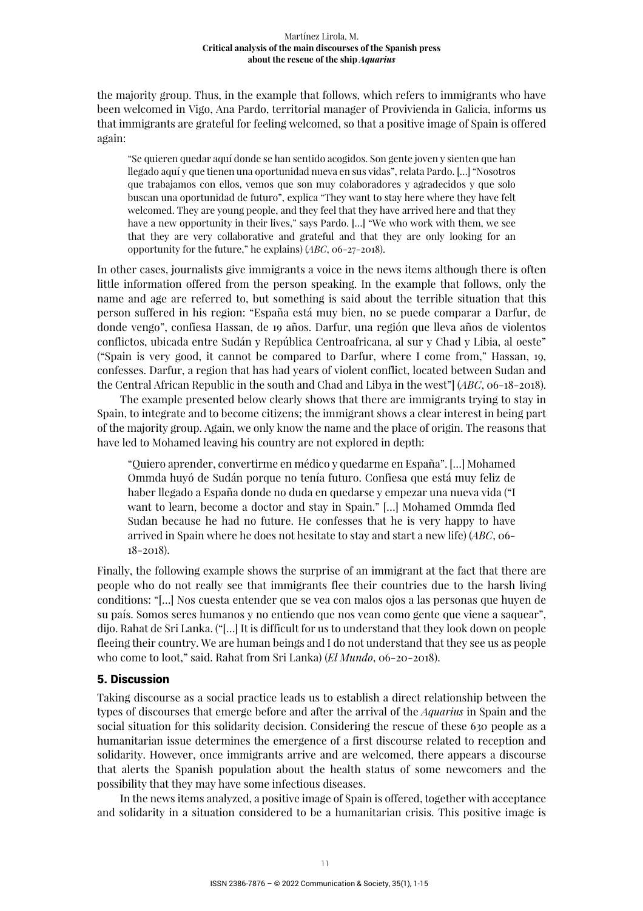the majority group. Thus, in the example that follows, which refers to immigrants who have been welcomed in Vigo, Ana Pardo, territorial manager of Provivienda in Galicia, informs us that immigrants are grateful for feeling welcomed, so that a positive image of Spain is offered again:

"Se quieren quedar aquí donde se han sentido acogidos. Son gente joven y sienten que han llegado aquí y que tienen una oportunidad nueva en sus vidas", relata Pardo. […] "Nosotros que trabajamos con ellos, vemos que son muy colaboradores y agradecidos y que solo buscan una oportunidad de futuro", explica "They want to stay here where they have felt welcomed. They are young people, and they feel that they have arrived here and that they have a new opportunity in their lives," says Pardo. […] "We who work with them, we see that they are very collaborative and grateful and that they are only looking for an opportunity for the future," he explains) (*ABC*, 06-27-2018).

In other cases, journalists give immigrants a voice in the news items although there is often little information offered from the person speaking. In the example that follows, only the name and age are referred to, but something is said about the terrible situation that this person suffered in his region: "España está muy bien, no se puede comparar a Darfur, de donde vengo", confiesa Hassan, de 19 años. Darfur, una región que lleva años de violentos conflictos, ubicada entre Sudán y República Centroafricana, al sur y Chad y Libia, al oeste" ("Spain is very good, it cannot be compared to Darfur, where I come from," Hassan, 19, confesses. Darfur, a region that has had years of violent conflict, located between Sudan and the Central African Republic in the south and Chad and Libya in the west"] (*ABC*, 06-18-2018).

The example presented below clearly shows that there are immigrants trying to stay in Spain, to integrate and to become citizens; the immigrant shows a clear interest in being part of the majority group. Again, we only know the name and the place of origin. The reasons that have led to Mohamed leaving his country are not explored in depth:

"Quiero aprender, convertirme en médico y quedarme en España". […] Mohamed Ommda huyó de Sudán porque no tenía futuro. Confiesa que está muy feliz de haber llegado a España donde no duda en quedarse y empezar una nueva vida ("I want to learn, become a doctor and stay in Spain." […] Mohamed Ommda fled Sudan because he had no future. He confesses that he is very happy to have arrived in Spain where he does not hesitate to stay and start a new life) (*ABC*, 06- 18-2018).

Finally, the following example shows the surprise of an immigrant at the fact that there are people who do not really see that immigrants flee their countries due to the harsh living conditions: "[…] Nos cuesta entender que se vea con malos ojos a las personas que huyen de su país. Somos seres humanos y no entiendo que nos vean como gente que viene a saquear", dijo. Rahat de Sri Lanka. ("[…] It is difficult for us to understand that they look down on people fleeing their country. We are human beings and I do not understand that they see us as people who come to loot," said. Rahat from Sri Lanka) (*El Mundo*, 06-20-2018).

## 5. Discussion

Taking discourse as a social practice leads us to establish a direct relationship between the types of discourses that emerge before and after the arrival of the *Aquarius* in Spain and the social situation for this solidarity decision. Considering the rescue of these 630 people as a humanitarian issue determines the emergence of a first discourse related to reception and solidarity. However, once immigrants arrive and are welcomed, there appears a discourse that alerts the Spanish population about the health status of some newcomers and the possibility that they may have some infectious diseases.

In the news items analyzed, a positive image of Spain is offered, together with acceptance and solidarity in a situation considered to be a humanitarian crisis. This positive image is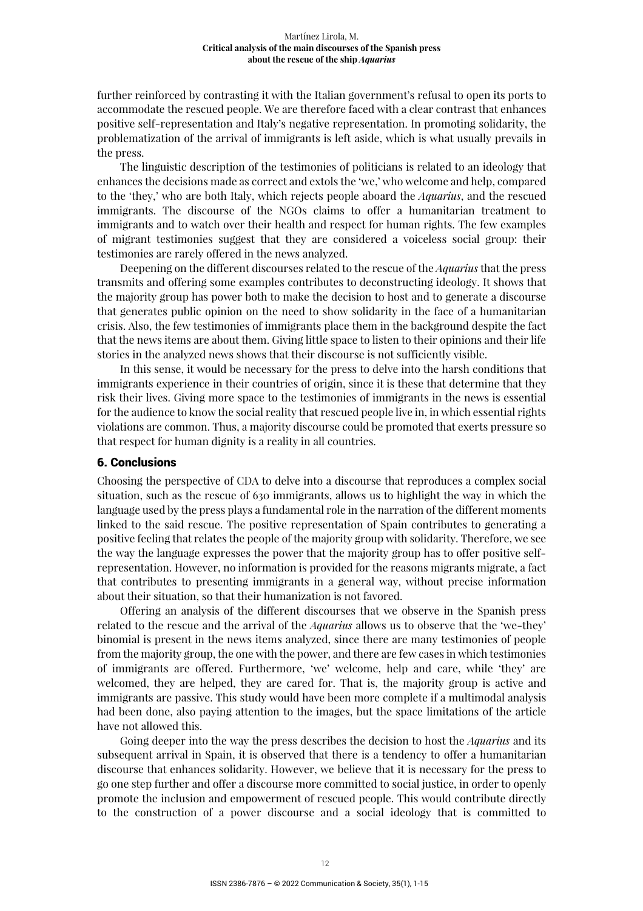further reinforced by contrasting it with the Italian government's refusal to open its ports to accommodate the rescued people. We are therefore faced with a clear contrast that enhances positive self-representation and Italy's negative representation. In promoting solidarity, the problematization of the arrival of immigrants is left aside, which is what usually prevails in the press.

The linguistic description of the testimonies of politicians is related to an ideology that enhances the decisions made as correct and extols the 'we,' who welcome and help, compared to the 'they,' who are both Italy, which rejects people aboard the *Aquarius*, and the rescued immigrants. The discourse of the NGOs claims to offer a humanitarian treatment to immigrants and to watch over their health and respect for human rights. The few examples of migrant testimonies suggest that they are considered a voiceless social group: their testimonies are rarely offered in the news analyzed.

Deepening on the different discourses related to the rescue of the *Aquarius* that the press transmits and offering some examples contributes to deconstructing ideology. It shows that the majority group has power both to make the decision to host and to generate a discourse that generates public opinion on the need to show solidarity in the face of a humanitarian crisis. Also, the few testimonies of immigrants place them in the background despite the fact that the news items are about them. Giving little space to listen to their opinions and their life stories in the analyzed news shows that their discourse is not sufficiently visible.

In this sense, it would be necessary for the press to delve into the harsh conditions that immigrants experience in their countries of origin, since it is these that determine that they risk their lives. Giving more space to the testimonies of immigrants in the news is essential for the audience to know the social reality that rescued people live in, in which essential rights violations are common. Thus, a majority discourse could be promoted that exerts pressure so that respect for human dignity is a reality in all countries.

#### 6. Conclusions

Choosing the perspective of CDA to delve into a discourse that reproduces a complex social situation, such as the rescue of 630 immigrants, allows us to highlight the way in which the language used by the press plays a fundamental role in the narration of the different moments linked to the said rescue. The positive representation of Spain contributes to generating a positive feeling that relates the people of the majority group with solidarity. Therefore, we see the way the language expresses the power that the majority group has to offer positive selfrepresentation. However, no information is provided for the reasons migrants migrate, a fact that contributes to presenting immigrants in a general way, without precise information about their situation, so that their humanization is not favored.

Offering an analysis of the different discourses that we observe in the Spanish press related to the rescue and the arrival of the *Aquarius* allows us to observe that the 'we-they' binomial is present in the news items analyzed, since there are many testimonies of people from the majority group, the one with the power, and there are few cases in which testimonies of immigrants are offered. Furthermore, 'we' welcome, help and care, while 'they' are welcomed, they are helped, they are cared for. That is, the majority group is active and immigrants are passive. This study would have been more complete if a multimodal analysis had been done, also paying attention to the images, but the space limitations of the article have not allowed this.

Going deeper into the way the press describes the decision to host the *Aquarius* and its subsequent arrival in Spain, it is observed that there is a tendency to offer a humanitarian discourse that enhances solidarity. However, we believe that it is necessary for the press to go one step further and offer a discourse more committed to social justice, in order to openly promote the inclusion and empowerment of rescued people. This would contribute directly to the construction of a power discourse and a social ideology that is committed to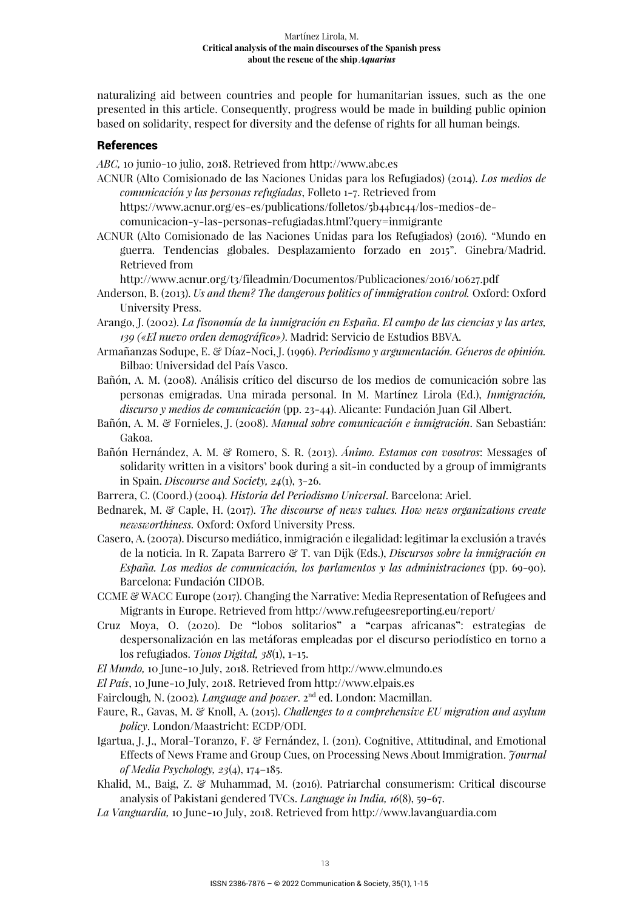naturalizing aid between countries and people for humanitarian issues, such as the one presented in this article. Consequently, progress would be made in building public opinion based on solidarity, respect for diversity and the defense of rights for all human beings.

## References

*ABC,* 10 junio-10 julio, 2018. Retrieved from http://www.abc.es

- ACNUR (Alto Comisionado de las Naciones Unidas para los Refugiados) (2014). *Los medios de comunicación y las personas refugiadas*, Folleto 1-7. Retrieved from https://www.acnur.org/es-es/publications/folletos/5b44b1c44/los-medios-decomunicacion-y-las-personas-refugiadas.html?query=inmigrante
- ACNUR (Alto Comisionado de las Naciones Unidas para los Refugiados) (2016). "Mundo en guerra. Tendencias globales. Desplazamiento forzado en 2015". Ginebra/Madrid. Retrieved from

http://www.acnur.org/t3/fileadmin/Documentos/Publicaciones/2016/10627.pdf

- Anderson, B. (2013). *Us and them? The dangerous politics of immigration control.* Oxford: Oxford University Press.
- Arango, J. (2002). *La fisonomía de la inmigración en España*. *El campo de las ciencias y las artes, 139 («El nuevo orden demográfico»)*. Madrid: Servicio de Estudios BBVA.
- Armañanzas Sodupe, E. & Díaz-Noci, J. (1996). *Periodismo y argumentación. Géneros de opinión.*  Bilbao: Universidad del País Vasco.
- Bañón, A. M. (2008). Análisis crítico del discurso de los medios de comunicación sobre las personas emigradas. Una mirada personal. In M. Martínez Lirola (Ed.), *Inmigración, discurso y medios de comunicación* (pp. 23-44). Alicante: Fundación Juan Gil Albert.
- Bañón, A. M. & Fornieles, J. (2008). *Manual sobre comunicación e inmigración*. San Sebastián: Gakoa.
- Bañón Hernández, A. M. & Romero, S. R. (2013). *Ánimo. Estamos con vosotros*: Messages of solidarity written in a visitors' book during a sit-in conducted by a group of immigrants in Spain. *Discourse and Society, 24*(1), 3-26.
- Barrera, C. (Coord.) (2004). *Historia del Periodismo Universal*. Barcelona: Ariel.
- Bednarek, M. & Caple, H. (2017). *The discourse of news values. How news organizations create newsworthiness.* Oxford: Oxford University Press.
- Casero, A. (2007a). Discurso mediático, inmigración e ilegalidad: legitimar la exclusión a través de la noticia. In R. Zapata Barrero & T. van Dijk (Eds.), *Discursos sobre la inmigración en España. Los medios de comunicación, los parlamentos y las administraciones* (pp. 69-90). Barcelona: Fundación CIDOB.
- CCME & WACC Europe (2017). Changing the Narrative: Media Representation of Refugees and Migrants in Europe. Retrieved from http://www.refugeesreporting.eu/report/
- Cruz Moya, O. (2020). De **"**lobos solitarios**"** a **"**carpas africanas**"**: estrategias de despersonalización en las metáforas empleadas por el discurso periodístico en torno a los refugiados. *Tonos Digital, 38*(1), 1-15.
- *El Mundo,* 10 June-10 July, 2018. Retrieved from http://www.elmundo.es
- *El País*, 10 June-10 July, 2018. Retrieved from http://www.elpais.es
- Fairclough*,* N. (2002)*. Language and power*. 2nd ed. London: Macmillan.
- Faure, R., Gavas, M. & Knoll, A. (2015). *Challenges to a comprehensive EU migration and asylum policy*. London/Maastricht: ECDP/ODI.
- Igartua, J. J., Moral-Toranzo, F. & Fernández, I. (2011). Cognitive, Attitudinal, and Emotional Effects of News Frame and Group Cues, on Processing News About Immigration. *Journal of Media Psychology, 23*(4), 174–185.
- Khalid, M., Baig, Z. & Muhammad, M. (2016). Patriarchal consumerism: Critical discourse analysis of Pakistani gendered TVCs. *Language in India, 16*(8), 59-67.
- *La Vanguardia,* 10 June-10 July, 2018. Retrieved from http://www.lavanguardia.com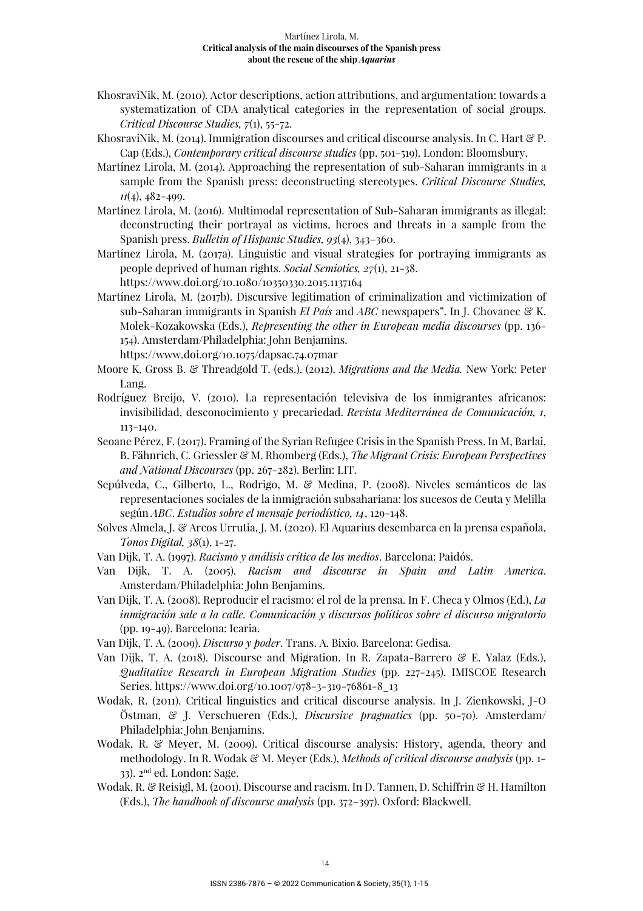- KhosraviNik, M. (2010). Actor descriptions, action attributions, and argumentation: towards a systematization of CDA analytical categories in the representation of social groups. *Critical Discourse Studies, 7*(1), 55-72.
- KhosraviNik, M. (2014). Immigration discourses and critical discourse analysis. In C. Hart  $\mathscr{C}$  P. Cap (Eds.), *Contemporary critical discourse studies* (pp. 501-519). London: Bloomsbury.
- Martínez Lirola, M. (2014). Approaching the representation of sub-Saharan immigrants in a sample from the Spanish press: deconstructing stereotypes. *Critical Discourse Studies, 11*(4), 482-499.
- Martínez Lirola, M. (2016). Multimodal representation of Sub-Saharan immigrants as illegal: deconstructing their portrayal as victims, heroes and threats in a sample from the Spanish press. *Bulletin of Hispanic Studies, 93*(4), 343–360.
- Martínez Lirola, M. (2017a). Linguistic and visual strategies for portraying immigrants as people deprived of human rights. *Social Semiotics, 27*(1), 21-38. https://www.doi.org/10.1080/10350330.2015.1137164
- Martínez Lirola, M. (2017b). Discursive legitimation of criminalization and victimization of sub-Saharan immigrants in Spanish *El País* and *ABC* newspapers". In J. Chovanec & K. Molek-Kozakowska (Eds.), *Representing the other in European media discourses* (pp. 136- 154). Amsterdam/Philadelphia: John Benjamins. https://www.doi.org/10.1075/dapsac.74.07mar
- Moore K, Gross B. & Threadgold T. (eds.). (2012). *Migrations and the Media.* New York: Peter Lang.
- Rodríguez Breijo, V. (2010). La representación televisiva de los inmigrantes africanos: invisibilidad, desconocimiento y precariedad. *Revista Mediterránea de Comunicación, 1*, 113-140.
- Seoane Pérez, F. (2017). Framing of the Syrian Refugee Crisis in the Spanish Press. In M, Barlai, B. Fähnrich, C. Griessler & M. Rhomberg (Eds.), *The Migrant Crisis: European Perspectives and National Discourses* (pp. 267-282). Berlin: LIT.
- Sepúlveda, C., Gilberto, L., Rodrigo, M. & Medina, P. (2008). Niveles semánticos de las representaciones sociales de la inmigración subsahariana: los sucesos de Ceuta y Melilla según *ABC*. *Estudios sobre el mensaje periodístico, 14*, 129-148.
- Solves Almela, J. & Arcos Urrutia, J. M. (2020). El Aquarius desembarca en la prensa española, *Tonos Digital, 38*(1), 1-27.
- Van Dijk, T. A. (1997). *Racismo y análisis crítico de los medios*. Barcelona: Paidós.
- Van Dijk, T. A. (2005). *Racism and discourse in Spain and Latin America*. Amsterdam/Philadelphia: John Benjamins.
- Van Dijk, T. A. (2008). Reproducir el racismo: el rol de la prensa. In F. Checa y Olmos (Ed.), *La inmigración sale a la calle. Comunicación y discursos políticos sobre el discurso migratorio*  (pp. 19-49). Barcelona: Icaria.
- Van Dijk, T. A. (2009). *Discurso y poder*. Trans. A. Bixio. Barcelona: Gedisa.
- Van Dijk, T. A. (2018). Discourse and Migration. In R. Zapata-Barrero & E. Yalaz (Eds.), *Qualitative Research in European Migration Studies* (pp. 227-245). IMISCOE Research Series. https://www.doi.org/10.1007/978-3-319-76861-8\_13
- Wodak, R. (2011). Critical linguistics and critical discourse analysis. In J. Zienkowski, J-O Östman, & J. Verschueren (Eds.), *Discursive pragmatics* (pp. 50-70). Amsterdam/ Philadelphia: John Benjamins.
- Wodak, R. & Meyer, M. (2009). Critical discourse analysis: History, agenda, theory and methodology. In R. Wodak & M. Meyer (Eds.), *Methods of critical discourse analysis* (pp. 1- 33). 2nd ed. London: Sage.
- Wodak, R. & Reisigl, M. (2001). Discourse and racism. In D. Tannen, D. Schiffrin & H. Hamilton (Eds.), *The handbook of discourse analysis* (pp. 372–397). Oxford: Blackwell.